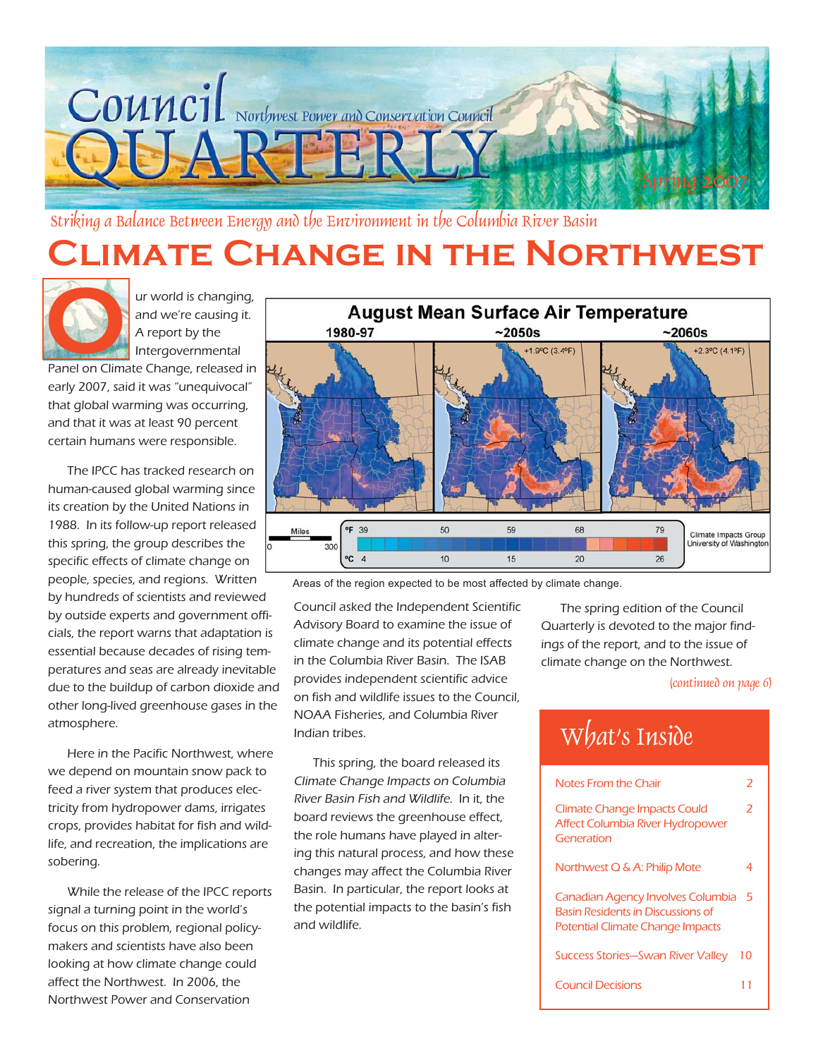

Striking a Balance Between Energy and the Environment in the Columbia River Basin

# **Climate Change in the Northwest**



 ur world is changing, and we're causing it. A report by the Intergovernmental

Panel on Climate Change, released in early 2007, said it was "unequivocal" that global warming was occurring, and that it was at least 90 percent certain humans were responsible.

The IPCC has tracked research on human-caused global warming since its creation by the United Nations in 1988. In its follow-up report released this spring, the group describes the specific effects of climate change on people, species, and regions. Written by hundreds of scientists and reviewed by outside experts and government officials, the report warns that adaptation is essential because decades of rising temperatures and seas are already inevitable due to the buildup of carbon dioxide and other long-lived greenhouse gases in the atmosphere.

Here in the Pacific Northwest, where we depend on mountain snow pack to feed a river system that produces electricity from hydropower dams, irrigates crops, provides habitat for fish and wildlife, and recreation, the implications are sobering.

While the release of the IPCC reports signal a turning point in the world's focus on this problem, regional policymakers and scientists have also been looking at how climate change could affect the Northwest. In 2006, the Northwest Power and Conservation



Areas of the region expected to be most affected by climate change.

Council asked the Independent Scientific Advisory Board to examine the issue of climate change and its potential effects in the Columbia River Basin. The ISAB provides independent scientific advice on fish and wildlife issues to the Council, NOAA Fisheries, and Columbia River Indian tribes.

This spring, the board released its Climate Change Impacts on Columbia River Basin Fish and Wildlife. In it, the board reviews the greenhouse effect, the role humans have played in altering this natural process, and how these changes may affect the Columbia River Basin. In particular, the report looks at the potential impacts to the basin's fish and wildlife.

The spring edition of the Council Quarterly is devoted to the major findings of the report, and to the issue of climate change on the Northwest.

#### (continued on page 6)

# What's Inside

| Notes From the Chair                                                                                                     |    |
|--------------------------------------------------------------------------------------------------------------------------|----|
| <b>Climate Change Impacts Could</b><br>Affect Columbia River Hydropower<br>Generation                                    | 2  |
| Northwest Q & A: Philip Mote                                                                                             | 4  |
| Canadian Agency Involves Columbia<br><b>Basin Residents in Discussions of</b><br><b>Potential Climate Change Impacts</b> | 5  |
| <b>Success Stories-Swan River Valley</b>                                                                                 | 10 |
| Council Decisions                                                                                                        |    |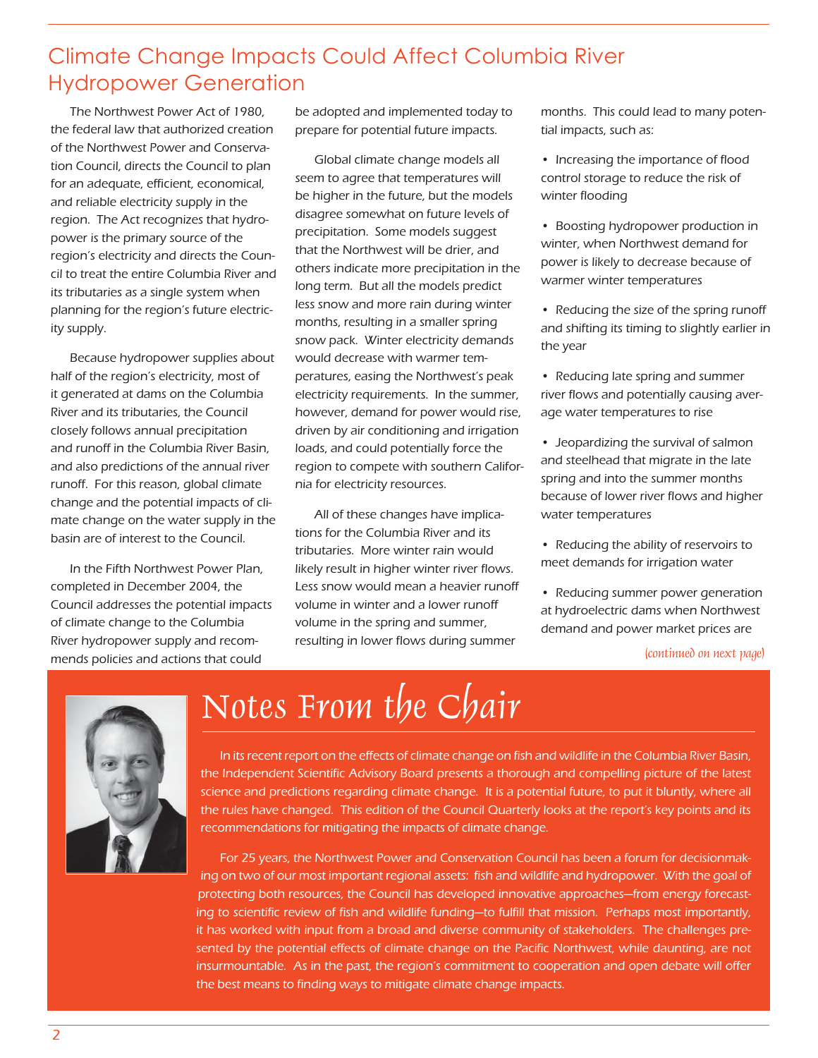## Climate Change Impacts Could Affect Columbia River Hydropower Generation

The Northwest Power Act of 1980, the federal law that authorized creation of the Northwest Power and Conservation Council, directs the Council to plan for an adequate, efficient, economical, and reliable electricity supply in the region. The Act recognizes that hydropower is the primary source of the region's electricity and directs the Council to treat the entire Columbia River and its tributaries as a single system when planning for the region's future electricity supply.

Because hydropower supplies about half of the region's electricity, most of it generated at dams on the Columbia River and its tributaries, the Council closely follows annual precipitation and runoff in the Columbia River Basin, and also predictions of the annual river runoff. For this reason, global climate change and the potential impacts of climate change on the water supply in the basin are of interest to the Council.

In the Fifth Northwest Power Plan, completed in December 2004, the Council addresses the potential impacts of climate change to the Columbia River hydropower supply and recommends policies and actions that could

Ĩ

be adopted and implemented today to prepare for potential future impacts.

Global climate change models all seem to agree that temperatures will be higher in the future, but the models disagree somewhat on future levels of precipitation. Some models suggest that the Northwest will be drier, and others indicate more precipitation in the long term. But all the models predict less snow and more rain during winter months, resulting in a smaller spring snow pack. Winter electricity demands would decrease with warmer temperatures, easing the Northwest's peak electricity requirements. In the summer, however, demand for power would rise, driven by air conditioning and irrigation loads, and could potentially force the region to compete with southern California for electricity resources.

All of these changes have implications for the Columbia River and its tributaries. More winter rain would likely result in higher winter river flows. Less snow would mean a heavier runoff volume in winter and a lower runoff volume in the spring and summer, resulting in lower flows during summer

months. This could lead to many potential impacts, such as:

- Increasing the importance of flood control storage to reduce the risk of winter flooding
- Boosting hydropower production in winter, when Northwest demand for power is likely to decrease because of warmer winter temperatures
- Reducing the size of the spring runoff and shifting its timing to slightly earlier in the year
- Reducing late spring and summer river flows and potentially causing average water temperatures to rise
- Jeopardizing the survival of salmon and steelhead that migrate in the late spring and into the summer months because of lower river flows and higher water temperatures
- Reducing the ability of reservoirs to meet demands for irrigation water
- Reducing summer power generation at hydroelectric dams when Northwest demand and power market prices are

#### (continued on next page)



# Notes From the Chair

In its recent report on the effects of climate change on fish and wildlife in the Columbia River Basin, the Independent Scientific Advisory Board presents a thorough and compelling picture of the latest science and predictions regarding climate change. It is a potential future, to put it bluntly, where all the rules have changed. This edition of the Council Quarterly looks at the report's key points and its recommendations for mitigating the impacts of climate change.

For 25 years, the Northwest Power and Conservation Council has been a forum for decisionmaking on two of our most important regional assets: fish and wildlife and hydropower. With the goal of protecting both resources, the Council has developed innovative approaches—from energy forecasting to scientific review of fish and wildlife funding—to fulfill that mission. Perhaps most importantly, it has worked with input from a broad and diverse community of stakeholders. The challenges presented by the potential effects of climate change on the Pacific Northwest, while daunting, are not insurmountable. As in the past, the region's commitment to cooperation and open debate will offer the best means to finding ways to mitigate climate change impacts.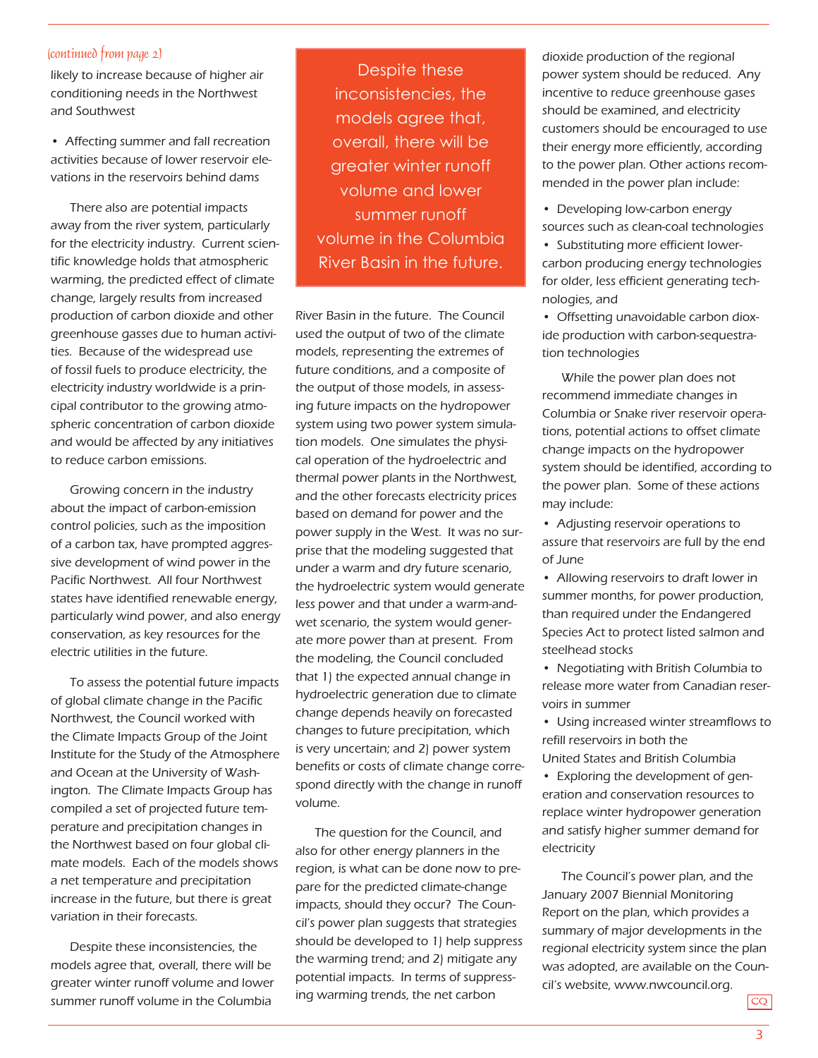#### (continued from page 2)

likely to increase because of higher air conditioning needs in the Northwest and Southwest

• Affecting summer and fall recreation activities because of lower reservoir elevations in the reservoirs behind dams

There also are potential impacts away from the river system, particularly for the electricity industry. Current scientific knowledge holds that atmospheric warming, the predicted effect of climate change, largely results from increased production of carbon dioxide and other greenhouse gasses due to human activities. Because of the widespread use of fossil fuels to produce electricity, the electricity industry worldwide is a principal contributor to the growing atmospheric concentration of carbon dioxide and would be affected by any initiatives to reduce carbon emissions.

Growing concern in the industry about the impact of carbon-emission control policies, such as the imposition of a carbon tax, have prompted aggressive development of wind power in the Pacific Northwest. All four Northwest states have identified renewable energy, particularly wind power, and also energy conservation, as key resources for the electric utilities in the future.

To assess the potential future impacts of global climate change in the Pacific Northwest, the Council worked with the Climate Impacts Group of the Joint Institute for the Study of the Atmosphere and Ocean at the University of Washington. The Climate Impacts Group has compiled a set of projected future temperature and precipitation changes in the Northwest based on four global climate models. Each of the models shows a net temperature and precipitation increase in the future, but there is great variation in their forecasts.

Despite these inconsistencies, the models agree that, overall, there will be greater winter runoff volume and lower summer runoff volume in the Columbia

Despite these inconsistencies, the models agree that, overall, there will be greater winter runoff volume and lower summer runoff volume in the Columbia River Basin in the future.

River Basin in the future. The Council used the output of two of the climate models, representing the extremes of future conditions, and a composite of the output of those models, in assessing future impacts on the hydropower system using two power system simulation models. One simulates the physical operation of the hydroelectric and thermal power plants in the Northwest, and the other forecasts electricity prices based on demand for power and the power supply in the West. It was no surprise that the modeling suggested that under a warm and dry future scenario, the hydroelectric system would generate less power and that under a warm-andwet scenario, the system would generate more power than at present. From the modeling, the Council concluded that 1) the expected annual change in hydroelectric generation due to climate change depends heavily on forecasted changes to future precipitation, which is very uncertain; and 2) power system benefits or costs of climate change correspond directly with the change in runoff volume.

The question for the Council, and also for other energy planners in the region, is what can be done now to prepare for the predicted climate-change impacts, should they occur? The Council's power plan suggests that strategies should be developed to 1) help suppress the warming trend; and 2) mitigate any potential impacts. In terms of suppressing warming trends, the net carbon

dioxide production of the regional power system should be reduced. Any incentive to reduce greenhouse gases should be examined, and electricity customers should be encouraged to use their energy more efficiently, according to the power plan. Other actions recommended in the power plan include:

• Developing low-carbon energy sources such as clean-coal technologies

• Substituting more efficient lowercarbon producing energy technologies for older, less efficient generating technologies, and

• Offsetting unavoidable carbon dioxide production with carbon-sequestration technologies

While the power plan does not recommend immediate changes in Columbia or Snake river reservoir operations, potential actions to offset climate change impacts on the hydropower system should be identified, according to the power plan. Some of these actions may include:

• Adjusting reservoir operations to assure that reservoirs are full by the end of June

• Allowing reservoirs to draft lower in summer months, for power production, than required under the Endangered Species Act to protect listed salmon and steelhead stocks

• Negotiating with British Columbia to release more water from Canadian reservoirs in summer

• Using increased winter streamflows to refill reservoirs in both the

United States and British Columbia

• Exploring the development of generation and conservation resources to replace winter hydropower generation and satisfy higher summer demand for electricity

The Council's power plan, and the January 2007 Biennial Monitoring Report on the plan, which provides a summary of major developments in the regional electricity system since the plan was adopted, are available on the Council's website, www.nwcouncil.org.

CQ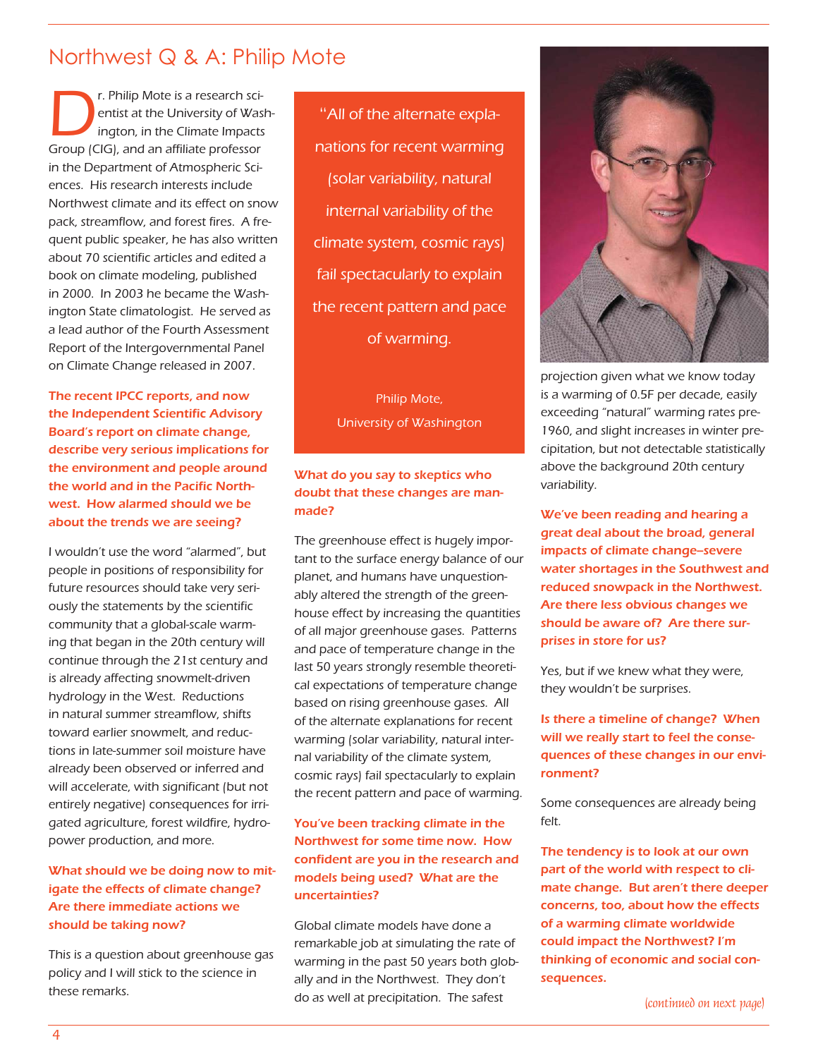### Northwest Q & A: Philip Mote

**CREAD CREAD SCREET ASSES**<br>
Fentist at the University of Was<br>
ington, in the Climate Impacts<br>
Group (CIG), and an affiliate professor entist at the University of Washington, in the Climate Impacts in the Department of Atmospheric Sciences. His research interests include Northwest climate and its effect on snow pack, streamflow, and forest fires. A frequent public speaker, he has also written about 70 scientific articles and edited a book on climate modeling, published in 2000. In 2003 he became the Washington State climatologist. He served as a lead author of the Fourth Assessment Report of the Intergovernmental Panel on Climate Change released in 2007.

The recent IPCC reports, and now the Independent Scientific Advisory Board's report on climate change, describe very serious implications for the environment and people around the world and in the Pacific Northwest. How alarmed should we be about the trends we are seeing?

I wouldn't use the word "alarmed", but people in positions of responsibility for future resources should take very seriously the statements by the scientific community that a global-scale warming that began in the 20th century will continue through the 21st century and is already affecting snowmelt-driven hydrology in the West. Reductions in natural summer streamflow, shifts toward earlier snowmelt, and reductions in late-summer soil moisture have already been observed or inferred and will accelerate, with significant (but not entirely negative) consequences for irrigated agriculture, forest wildfire, hydropower production, and more.

#### What should we be doing now to mitigate the effects of climate change? Are there immediate actions we should be taking now?

This is a question about greenhouse gas policy and I will stick to the science in these remarks.

"All of the alternate explanations for recent warming (solar variability, natural internal variability of the climate system, cosmic rays) fail spectacularly to explain the recent pattern and pace of warming.

> Philip Mote, University of Washington

#### What do you say to skeptics who doubt that these changes are manmade?

The greenhouse effect is hugely important to the surface energy balance of our planet, and humans have unquestionably altered the strength of the greenhouse effect by increasing the quantities of all major greenhouse gases. Patterns and pace of temperature change in the last 50 years strongly resemble theoretical expectations of temperature change based on rising greenhouse gases. All of the alternate explanations for recent warming (solar variability, natural internal variability of the climate system, cosmic rays) fail spectacularly to explain the recent pattern and pace of warming.

#### You've been tracking climate in the Northwest for some time now. How confident are you in the research and models being used? What are the uncertainties?

Global climate models have done a remarkable job at simulating the rate of warming in the past 50 years both globally and in the Northwest. They don't do as well at precipitation. The safest (continued on next page)



projection given what we know today is a warming of 0.5F per decade, easily exceeding "natural" warming rates pre-1960, and slight increases in winter precipitation, but not detectable statistically above the background 20th century variability.

We've been reading and hearing a great deal about the broad, general impacts of climate change--severe water shortages in the Southwest and reduced snowpack in the Northwest. Are there less obvious changes we should be aware of? Are there surprises in store for us?

Yes, but if we knew what they were, they wouldn't be surprises.

Is there a timeline of change? When will we really start to feel the consequences of these changes in our environment?

Some consequences are already being felt.

The tendency is to look at our own part of the world with respect to climate change. But aren't there deeper concerns, too, about how the effects of a warming climate worldwide could impact the Northwest? I'm thinking of economic and social consequences.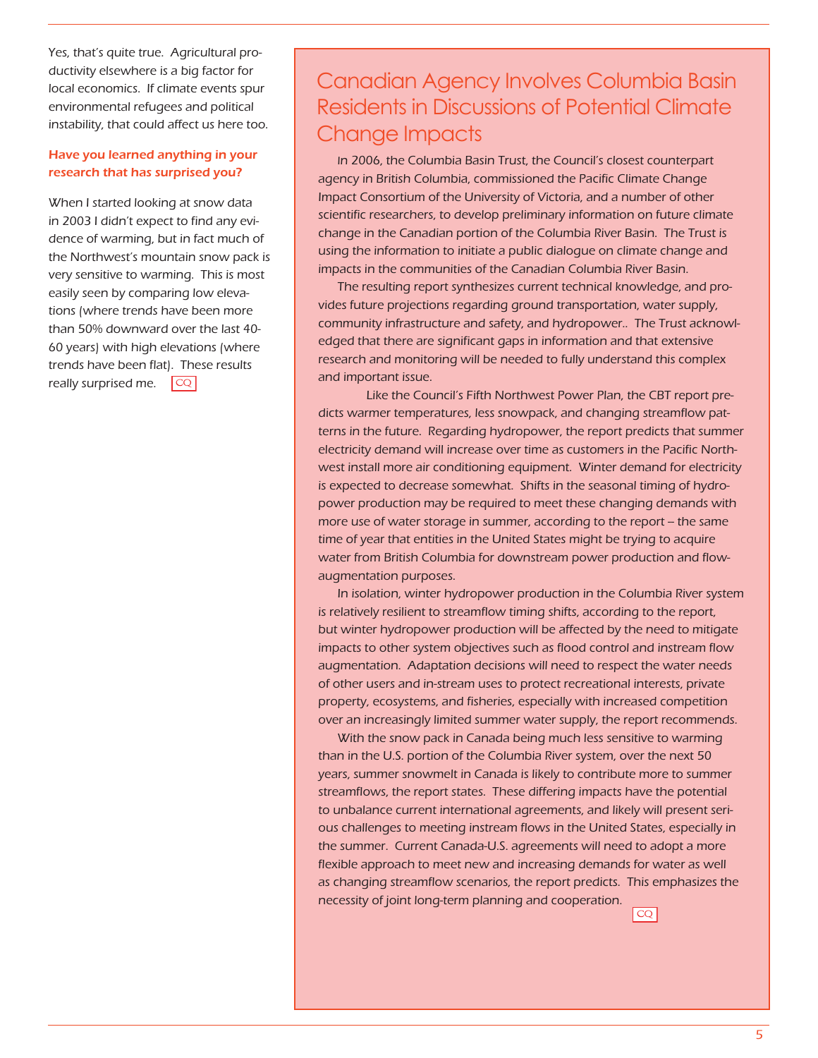Yes, that's quite true. Agricultural productivity elsewhere is a big factor for local economics. If climate events spur environmental refugees and political instability, that could affect us here too.

#### Have you learned anything in your research that has surprised you?

When I started looking at snow data in 2003 I didn't expect to find any evidence of warming, but in fact much of the Northwest's mountain snow pack is very sensitive to warming. This is most easily seen by comparing low elevations (where trends have been more than 50% downward over the last 40- 60 years) with high elevations (where trends have been flat). These results really surprised me.  $|CQ|$ 

## Canadian Agency Involves Columbia Basin Residents in Discussions of Potential Climate Change Impacts

In 2006, the Columbia Basin Trust, the Council's closest counterpart agency in British Columbia, commissioned the Pacific Climate Change Impact Consortium of the University of Victoria, and a number of other scientific researchers, to develop preliminary information on future climate change in the Canadian portion of the Columbia River Basin. The Trust is using the information to initiate a public dialogue on climate change and impacts in the communities of the Canadian Columbia River Basin.

The resulting report synthesizes current technical knowledge, and provides future projections regarding ground transportation, water supply, community infrastructure and safety, and hydropower.. The Trust acknowledged that there are significant gaps in information and that extensive research and monitoring will be needed to fully understand this complex and important issue.

 Like the Council's Fifth Northwest Power Plan, the CBT report predicts warmer temperatures, less snowpack, and changing streamflow patterns in the future. Regarding hydropower, the report predicts that summer electricity demand will increase over time as customers in the Pacific Northwest install more air conditioning equipment. Winter demand for electricity is expected to decrease somewhat. Shifts in the seasonal timing of hydropower production may be required to meet these changing demands with more use of water storage in summer, according to the report - the same time of year that entities in the United States might be trying to acquire water from British Columbia for downstream power production and flowaugmentation purposes.

In isolation, winter hydropower production in the Columbia River system is relatively resilient to streamflow timing shifts, according to the report, but winter hydropower production will be affected by the need to mitigate impacts to other system objectives such as flood control and instream flow augmentation. Adaptation decisions will need to respect the water needs of other users and in-stream uses to protect recreational interests, private property, ecosystems, and fisheries, especially with increased competition over an increasingly limited summer water supply, the report recommends.

With the snow pack in Canada being much less sensitive to warming than in the U.S. portion of the Columbia River system, over the next 50 years, summer snowmelt in Canada is likely to contribute more to summer streamflows, the report states. These differing impacts have the potential to unbalance current international agreements, and likely will present serious challenges to meeting instream flows in the United States, especially in the summer. Current Canada-U.S. agreements will need to adopt a more flexible approach to meet new and increasing demands for water as well as changing streamflow scenarios, the report predicts. This emphasizes the necessity of joint long-term planning and cooperation.

and the control of the control of the control of the control of the control of the control of the control of t<br>The control of the control of the control of the control of the control of the control of the control of the c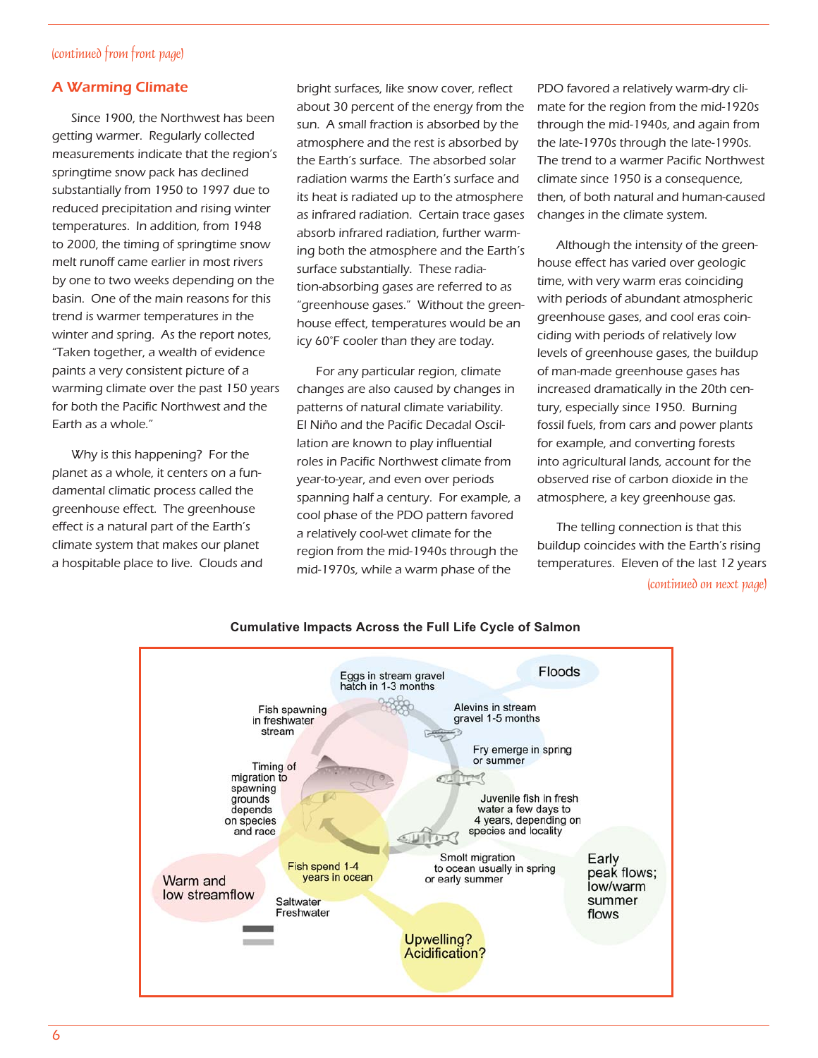#### (continued from front page)

#### A Warming Climate

Since 1900, the Northwest has been getting warmer. Regularly collected measurements indicate that the region's springtime snow pack has declined substantially from 1950 to 1997 due to reduced precipitation and rising winter temperatures. In addition, from 1948 to 2000, the timing of springtime snow melt runoff came earlier in most rivers by one to two weeks depending on the basin. One of the main reasons for this trend is warmer temperatures in the winter and spring. As the report notes, "Taken together, a wealth of evidence paints a very consistent picture of a warming climate over the past 150 years for both the Pacific Northwest and the Earth as a whole."

Why is this happening? For the planet as a whole, it centers on a fundamental climatic process called the greenhouse effect. The greenhouse effect is a natural part of the Earth's climate system that makes our planet a hospitable place to live. Clouds and bright surfaces, like snow cover, reflect about 30 percent of the energy from the sun. A small fraction is absorbed by the atmosphere and the rest is absorbed by the Earth's surface. The absorbed solar radiation warms the Earth's surface and its heat is radiated up to the atmosphere as infrared radiation. Certain trace gases absorb infrared radiation, further warming both the atmosphere and the Earth's surface substantially. These radiation-absorbing gases are referred to as "greenhouse gases." Without the greenhouse effect, temperatures would be an icy 60°F cooler than they are today.

For any particular region, climate changes are also caused by changes in patterns of natural climate variability. El Niño and the Pacific Decadal Oscillation are known to play influential roles in Pacific Northwest climate from year-to-year, and even over periods spanning half a century. For example, a cool phase of the PDO pattern favored a relatively cool-wet climate for the region from the mid-1940s through the mid-1970s, while a warm phase of the

PDO favored a relatively warm-dry climate for the region from the mid-1920s through the mid-1940s, and again from the late-1970s through the late-1990s. The trend to a warmer Pacific Northwest climate since 1950 is a consequence, then, of both natural and human-caused changes in the climate system.

Although the intensity of the greenhouse effect has varied over geologic time, with very warm eras coinciding with periods of abundant atmospheric greenhouse gases, and cool eras coinciding with periods of relatively low levels of greenhouse gases, the buildup of man-made greenhouse gases has increased dramatically in the 20th century, especially since 1950. Burning fossil fuels, from cars and power plants for example, and converting forests into agricultural lands, account for the observed rise of carbon dioxide in the atmosphere, a key greenhouse gas.

The telling connection is that this buildup coincides with the Earth's rising temperatures. Eleven of the last 12 years (continued on next page)



#### **Cumulative Impacts Across the Full Life Cycle of Salmon**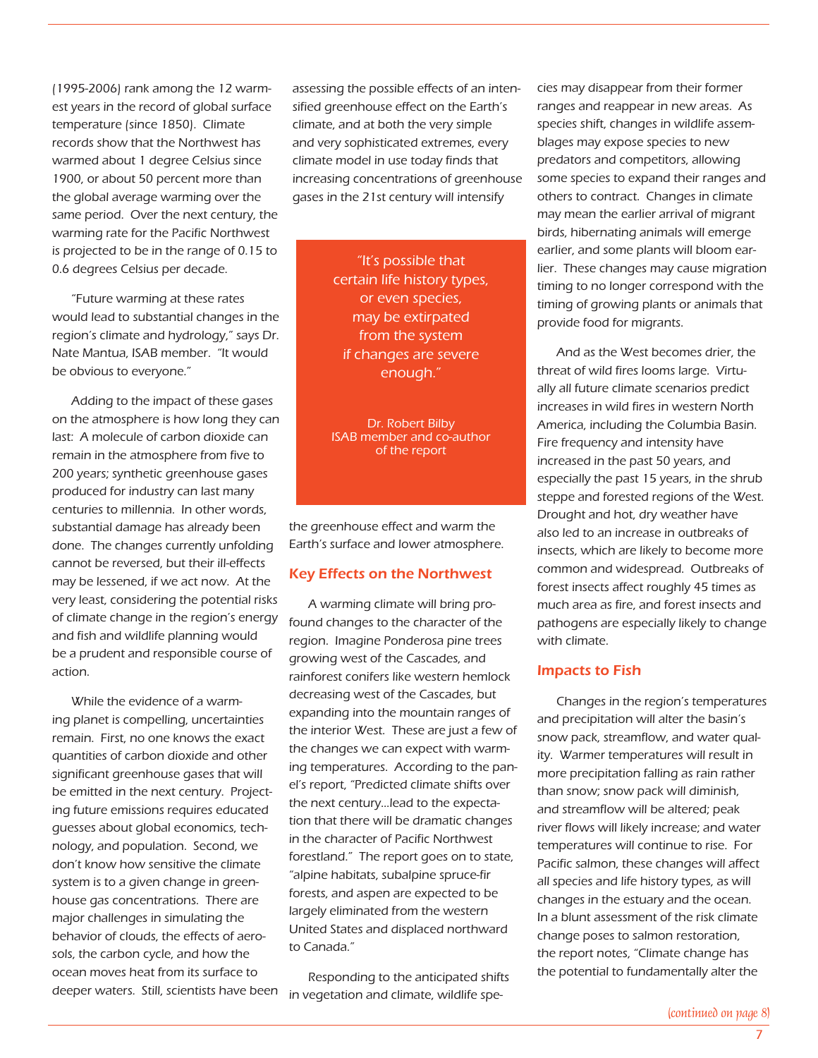(1995-2006) rank among the 12 warmest years in the record of global surface temperature (since 1850). Climate records show that the Northwest has warmed about 1 degree Celsius since 1900, or about 50 percent more than the global average warming over the same period. Over the next century, the warming rate for the Pacific Northwest is projected to be in the range of 0.15 to 0.6 degrees Celsius per decade.

"Future warming at these rates would lead to substantial changes in the region's climate and hydrology," says Dr. Nate Mantua, ISAB member. "It would be obvious to everyone."

Adding to the impact of these gases on the atmosphere is how long they can last: A molecule of carbon dioxide can remain in the atmosphere from five to 200 years; synthetic greenhouse gases produced for industry can last many centuries to millennia. In other words, substantial damage has already been done. The changes currently unfolding cannot be reversed, but their ill-effects may be lessened, if we act now. At the very least, considering the potential risks of climate change in the region's energy and fish and wildlife planning would be a prudent and responsible course of action.

While the evidence of a warming planet is compelling, uncertainties remain. First, no one knows the exact quantities of carbon dioxide and other significant greenhouse gases that will be emitted in the next century. Projecting future emissions requires educated guesses about global economics, technology, and population. Second, we don't know how sensitive the climate system is to a given change in greenhouse gas concentrations. There are major challenges in simulating the behavior of clouds, the effects of aerosols, the carbon cycle, and how the ocean moves heat from its surface to

assessing the possible effects of an intensified greenhouse effect on the Earth's climate, and at both the very simple and very sophisticated extremes, every climate model in use today finds that increasing concentrations of greenhouse gases in the 21st century will intensify

> "It's possible that certain life history types, or even species, may be extirpated from the system if changes are severe enough."

> Dr. Robert Bilby ISAB member and co-author of the report

the greenhouse effect and warm the Earth's surface and lower atmosphere.

#### Key Effects on the Northwest

A warming climate will bring profound changes to the character of the region. Imagine Ponderosa pine trees growing west of the Cascades, and rainforest conifers like western hemlock decreasing west of the Cascades, but expanding into the mountain ranges of the interior West. These are just a few of the changes we can expect with warming temperatures. According to the panel's report, "Predicted climate shifts over the next century…lead to the expectation that there will be dramatic changes in the character of Pacific Northwest forestland." The report goes on to state, "alpine habitats, subalpine spruce-fir forests, and aspen are expected to be largely eliminated from the western United States and displaced northward to Canada."

deeper waters. Still, scientists have been in vegetation and climate, wildlife spe-Responding to the anticipated shifts cies may disappear from their former ranges and reappear in new areas. As species shift, changes in wildlife assemblages may expose species to new predators and competitors, allowing some species to expand their ranges and others to contract. Changes in climate may mean the earlier arrival of migrant birds, hibernating animals will emerge earlier, and some plants will bloom earlier. These changes may cause migration timing to no longer correspond with the timing of growing plants or animals that provide food for migrants.

And as the West becomes drier, the threat of wild fires looms large. Virtually all future climate scenarios predict increases in wild fires in western North America, including the Columbia Basin. Fire frequency and intensity have increased in the past 50 years, and especially the past 15 years, in the shrub steppe and forested regions of the West. Drought and hot, dry weather have also led to an increase in outbreaks of insects, which are likely to become more common and widespread. Outbreaks of forest insects affect roughly 45 times as much area as fire, and forest insects and pathogens are especially likely to change with climate.

#### Impacts to Fish

Changes in the region's temperatures and precipitation will alter the basin's snow pack, streamflow, and water quality. Warmer temperatures will result in more precipitation falling as rain rather than snow; snow pack will diminish, and streamflow will be altered; peak river flows will likely increase; and water temperatures will continue to rise. For Pacific salmon, these changes will affect all species and life history types, as will changes in the estuary and the ocean. In a blunt assessment of the risk climate change poses to salmon restoration, the report notes, "Climate change has the potential to fundamentally alter the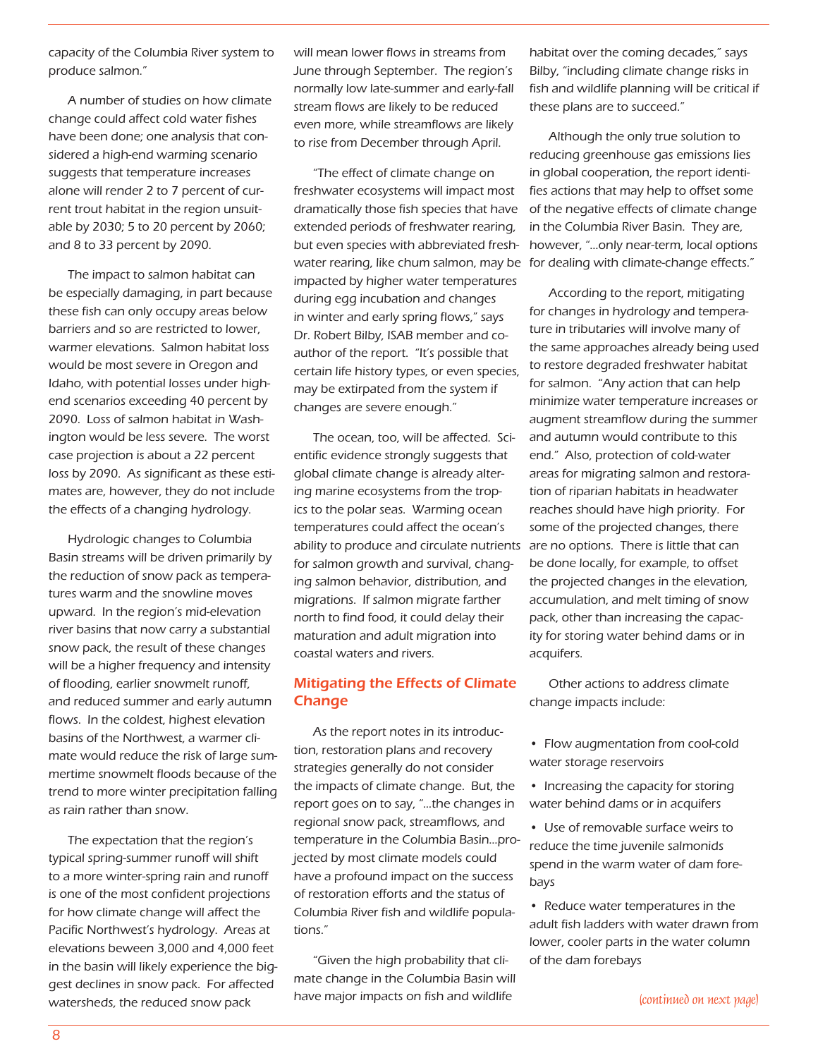capacity of the Columbia River system to produce salmon."

A number of studies on how climate change could affect cold water fishes have been done; one analysis that considered a high-end warming scenario suggests that temperature increases alone will render 2 to 7 percent of current trout habitat in the region unsuitable by 2030; 5 to 20 percent by 2060; and 8 to 33 percent by 2090.

The impact to salmon habitat can be especially damaging, in part because these fish can only occupy areas below barriers and so are restricted to lower, warmer elevations. Salmon habitat loss would be most severe in Oregon and Idaho, with potential losses under highend scenarios exceeding 40 percent by 2090. Loss of salmon habitat in Washington would be less severe. The worst case projection is about a 22 percent loss by 2090. As significant as these estimates are, however, they do not include the effects of a changing hydrology.

Hydrologic changes to Columbia Basin streams will be driven primarily by the reduction of snow pack as temperatures warm and the snowline moves upward. In the region's mid-elevation river basins that now carry a substantial snow pack, the result of these changes will be a higher frequency and intensity of flooding, earlier snowmelt runoff, and reduced summer and early autumn flows. In the coldest, highest elevation basins of the Northwest, a warmer climate would reduce the risk of large summertime snowmelt floods because of the trend to more winter precipitation falling as rain rather than snow.

The expectation that the region's typical spring-summer runoff will shift to a more winter-spring rain and runoff is one of the most confident projections for how climate change will affect the Pacific Northwest's hydrology. Areas at elevations beween 3,000 and 4,000 feet in the basin will likely experience the biggest declines in snow pack. For affected watersheds, the reduced snow pack

will mean lower flows in streams from June through September. The region's normally low late-summer and early-fall stream flows are likely to be reduced even more, while streamflows are likely to rise from December through April.

"The effect of climate change on freshwater ecosystems will impact most dramatically those fish species that have extended periods of freshwater rearing, but even species with abbreviated freshwater rearing, like chum salmon, may be impacted by higher water temperatures during egg incubation and changes in winter and early spring flows," says Dr. Robert Bilby, ISAB member and coauthor of the report. "It's possible that certain life history types, or even species, may be extirpated from the system if changes are severe enough."

The ocean, too, will be affected. Scientific evidence strongly suggests that global climate change is already altering marine ecosystems from the tropics to the polar seas. Warming ocean temperatures could affect the ocean's ability to produce and circulate nutrients are no options. There is little that can for salmon growth and survival, changing salmon behavior, distribution, and migrations. If salmon migrate farther north to find food, it could delay their maturation and adult migration into coastal waters and rivers.

#### Mitigating the Effects of Climate Change

As the report notes in its introduction, restoration plans and recovery strategies generally do not consider the impacts of climate change. But, the report goes on to say, "…the changes in regional snow pack, streamflows, and temperature in the Columbia Basin…projected by most climate models could have a profound impact on the success of restoration efforts and the status of Columbia River fish and wildlife populations."

"Given the high probability that climate change in the Columbia Basin will have major impacts on fish and wildlife

habitat over the coming decades," says Bilby, "including climate change risks in fish and wildlife planning will be critical if these plans are to succeed."

Although the only true solution to reducing greenhouse gas emissions lies in global cooperation, the report identifies actions that may help to offset some of the negative effects of climate change in the Columbia River Basin. They are, however, "…only near-term, local options for dealing with climate-change effects."

According to the report, mitigating for changes in hydrology and temperature in tributaries will involve many of the same approaches already being used to restore degraded freshwater habitat for salmon. "Any action that can help minimize water temperature increases or augment streamflow during the summer and autumn would contribute to this end." Also, protection of cold-water areas for migrating salmon and restoration of riparian habitats in headwater reaches should have high priority. For some of the projected changes, there be done locally, for example, to offset the projected changes in the elevation, accumulation, and melt timing of snow pack, other than increasing the capacity for storing water behind dams or in acquifers.

Other actions to address climate change impacts include:

- Flow augmentation from cool-cold water storage reservoirs
- Increasing the capacity for storing water behind dams or in acquifers
- Use of removable surface weirs to reduce the time juvenile salmonids spend in the warm water of dam forebays
- Reduce water temperatures in the adult fish ladders with water drawn from lower, cooler parts in the water column of the dam forebays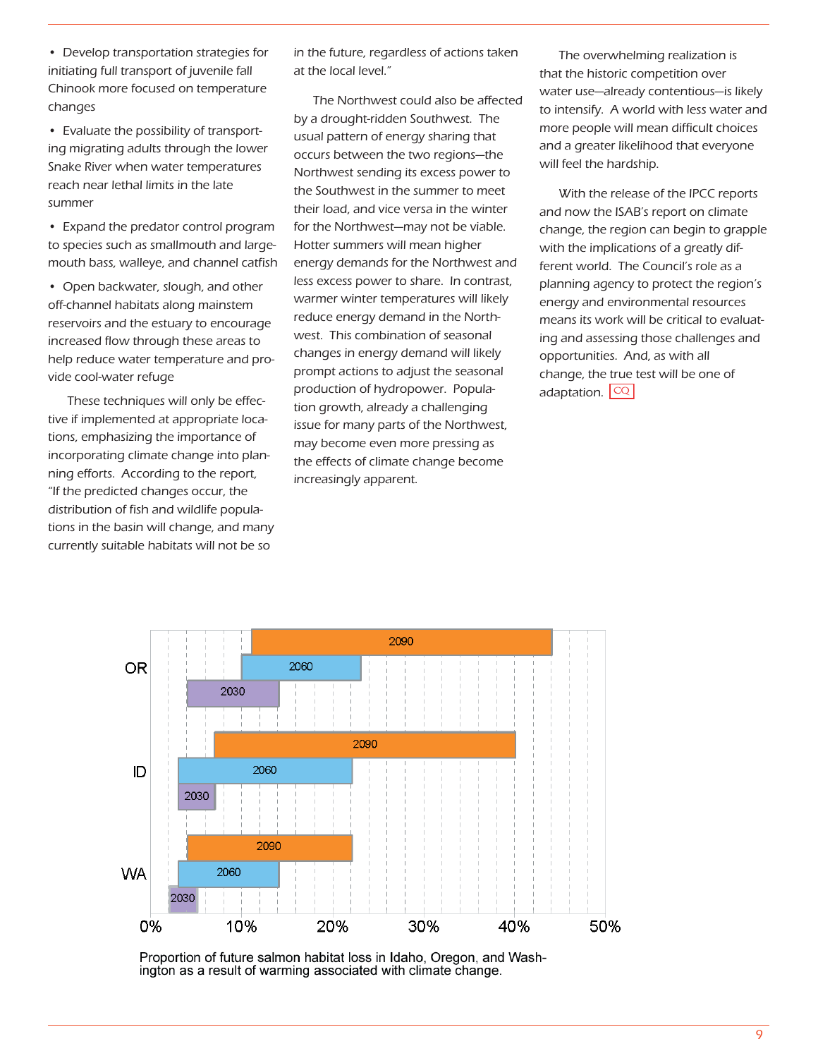• Develop transportation strategies for initiating full transport of juvenile fall Chinook more focused on temperature changes

• Evaluate the possibility of transporting migrating adults through the lower Snake River when water temperatures reach near lethal limits in the late summer

• Expand the predator control program to species such as smallmouth and largemouth bass, walleye, and channel catfish

• Open backwater, slough, and other off-channel habitats along mainstem reservoirs and the estuary to encourage increased flow through these areas to help reduce water temperature and provide cool-water refuge

These techniques will only be effective if implemented at appropriate locations, emphasizing the importance of incorporating climate change into planning efforts. According to the report, "If the predicted changes occur, the distribution of fish and wildlife populations in the basin will change, and many currently suitable habitats will not be so

in the future, regardless of actions taken at the local level."

The Northwest could also be affected by a drought-ridden Southwest. The usual pattern of energy sharing that occurs between the two regions—the Northwest sending its excess power to the Southwest in the summer to meet their load, and vice versa in the winter for the Northwest—may not be viable. Hotter summers will mean higher energy demands for the Northwest and less excess power to share. In contrast, warmer winter temperatures will likely reduce energy demand in the Northwest. This combination of seasonal changes in energy demand will likely prompt actions to adjust the seasonal production of hydropower. Population growth, already a challenging issue for many parts of the Northwest, may become even more pressing as the effects of climate change become increasingly apparent.

The overwhelming realization is that the historic competition over water use—already contentious—is likely to intensify. A world with less water and more people will mean difficult choices and a greater likelihood that everyone will feel the hardship.

With the release of the IPCC reports and now the ISAB's report on climate change, the region can begin to grapple with the implications of a greatly different world. The Council's role as a planning agency to protect the region's energy and environmental resources means its work will be critical to evaluating and assessing those challenges and opportunities. And, as with all change, the true test will be one of adaptation.  $|CQ|$ 



Proportion of future salmon habitat loss in Idaho, Oregon, and Washington as a result of warming associated with climate change.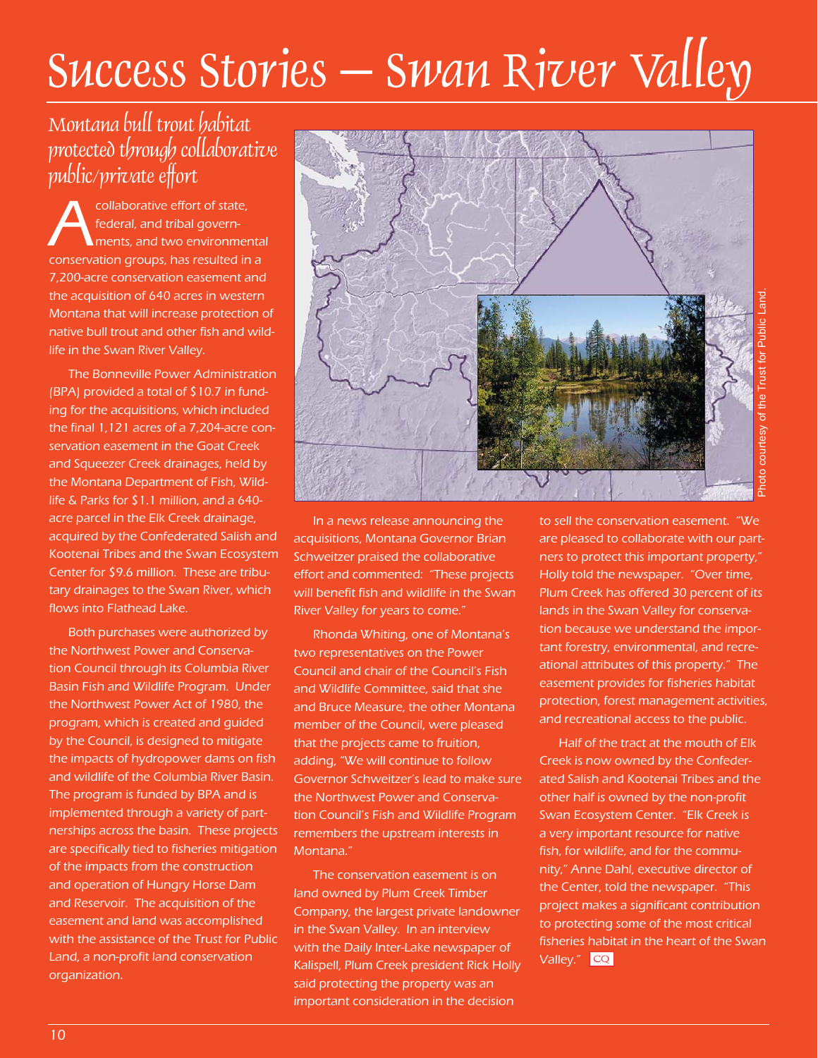# Success Stories – Swan River Valley

## Montana bull trout habitat protected through collaborative public/private effort

collaborative effort of state,<br>
federal, and tribal govern-<br>
conservation groups, has resulted in a federal, and tribal governments, and two environmental 7,200-acre conservation easement and the acquisition of 640 acres in western Montana that will increase protection of native bull trout and other fish and wildlife in the Swan River Valley.

The Bonneville Power Administration (BPA) provided a total of \$10.7 in funding for the acquisitions, which included the final 1,121 acres of a 7,204-acre conservation easement in the Goat Creek and Squeezer Creek drainages, held by the Montana Department of Fish, Wildlife & Parks for \$1.1 million, and a 640 acre parcel in the Elk Creek drainage, acquired by the Confederated Salish and Kootenai Tribes and the Swan Ecosystem Center for \$9.6 million. These are tributary drainages to the Swan River, which flows into Flathead Lake.

Both purchases were authorized by the Northwest Power and Conservation Council through its Columbia River Basin Fish and Wildlife Program. Under the Northwest Power Act of 1980, the program, which is created and guided by the Council, is designed to mitigate the impacts of hydropower dams on fish and wildlife of the Columbia River Basin. The program is funded by BPA and is implemented through a variety of partnerships across the basin. These projects are specifically tied to fisheries mitigation of the impacts from the construction and operation of Hungry Horse Dam and Reservoir. The acquisition of the easement and land was accomplished with the assistance of the Trust for Public Land, a non-profit land conservation organization.



In a news release announcing the acquisitions, Montana Governor Brian Schweitzer praised the collaborative effort and commented: "These projects will benefit fish and wildlife in the Swan River Valley for years to come."

Rhonda Whiting, one of Montana's two representatives on the Power Council and chair of the Council's Fish and Wildlife Committee, said that she and Bruce Measure, the other Montana member of the Council, were pleased that the projects came to fruition, adding, "We will continue to follow Governor Schweitzer's lead to make sure the Northwest Power and Conservation Council's Fish and Wildlife Program remembers the upstream interests in Montana."

The conservation easement is on land owned by Plum Creek Timber Company, the largest private landowner in the Swan Valley. In an interview with the Daily Inter-Lake newspaper of Kalispell, Plum Creek president Rick Holly said protecting the property was an important consideration in the decision

to sell the conservation easement. "We are pleased to collaborate with our partners to protect this important property," Holly told the newspaper. "Over time, Plum Creek has offered 30 percent of its lands in the Swan Valley for conservation because we understand the important forestry, environmental, and recreational attributes of this property." The easement provides for fisheries habitat protection, forest management activities, and recreational access to the public.

Half of the tract at the mouth of Elk Creek is now owned by the Confederated Salish and Kootenai Tribes and the other half is owned by the non-profit Swan Ecosystem Center. "Elk Creek is a very important resource for native fish, for wildlife, and for the community," Anne Dahl, executive director of the Center, told the newspaper. "This project makes a significant contribution to protecting some of the most critical fisheries habitat in the heart of the Swan Valley." <mark>CQ</mark>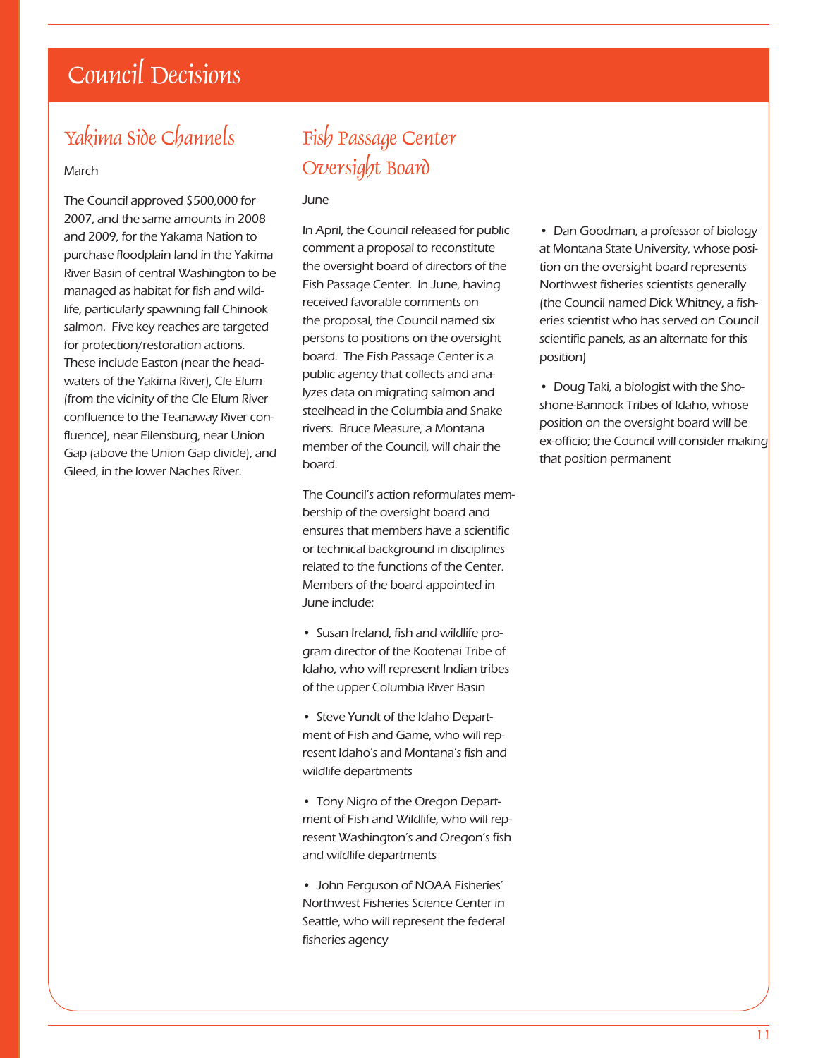# Council Decisions

## Yakima Side Channels

#### March

The Council approved \$500,000 for 2007, and the same amounts in 2008 and 2009, for the Yakama Nation to purchase floodplain land in the Yakima River Basin of central Washington to be managed as habitat for fish and wildlife, particularly spawning fall Chinook salmon. Five key reaches are targeted for protection/restoration actions. These include Easton (near the headwaters of the Yakima River), Cle Elum (from the vicinity of the Cle Elum River confluence to the Teanaway River confluence), near Ellensburg, near Union Gap (above the Union Gap divide), and Gleed, in the lower Naches River.

## Fish Passage Center Oversight Board

June

In April, the Council released for public comment a proposal to reconstitute the oversight board of directors of the Fish Passage Center. In June, having received favorable comments on the proposal, the Council named six persons to positions on the oversight board. The Fish Passage Center is a public agency that collects and analyzes data on migrating salmon and steelhead in the Columbia and Snake rivers. Bruce Measure, a Montana member of the Council, will chair the board.

The Council's action reformulates membership of the oversight board and ensures that members have a scientific or technical background in disciplines related to the functions of the Center. Members of the board appointed in June include:

- Susan Ireland, fish and wildlife program director of the Kootenai Tribe of Idaho, who will represent Indian tribes of the upper Columbia River Basin
- Steve Yundt of the Idaho Department of Fish and Game, who will represent Idaho's and Montana's fish and wildlife departments
- Tony Nigro of the Oregon Department of Fish and Wildlife, who will represent Washington's and Oregon's fish and wildlife departments
- John Ferguson of NOAA Fisheries' Northwest Fisheries Science Center in Seattle, who will represent the federal fisheries agency

• Dan Goodman, a professor of biology at Montana State University, whose position on the oversight board represents Northwest fisheries scientists generally (the Council named Dick Whitney, a fisheries scientist who has served on Council scientific panels, as an alternate for this position)

• Doug Taki, a biologist with the Shoshone-Bannock Tribes of Idaho, whose position on the oversight board will be ex-officio; the Council will consider making that position permanent